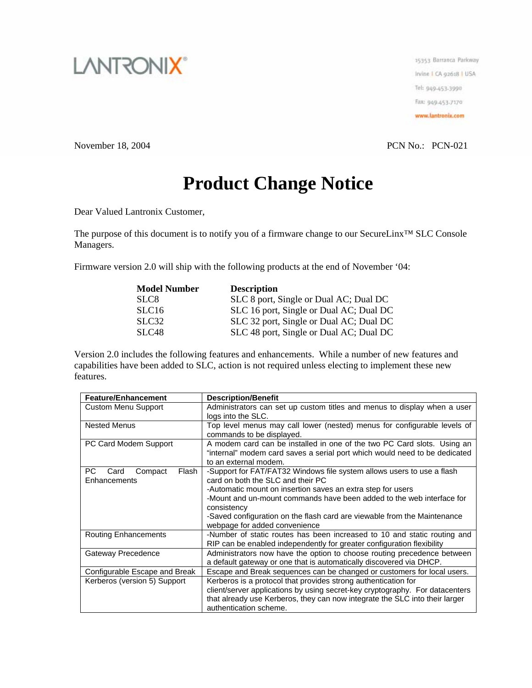

15353 Barranca Parkway Irvine I CA 92618 | USA Tel: 949-453-3990 Fax: 949-453-7170 www.lantronix.com

November 18, 2004 PCN No.: PCN-021

## **Product Change Notice**

Dear Valued Lantronix Customer,

The purpose of this document is to notify you of a firmware change to our SecureLinx™ SLC Console Managers.

Firmware version 2.0 will ship with the following products at the end of November '04:

| <b>Model Number</b> | <b>Description</b>                      |
|---------------------|-----------------------------------------|
| SLC <sub>8</sub>    | SLC 8 port, Single or Dual AC; Dual DC  |
| SLC <sub>16</sub>   | SLC 16 port, Single or Dual AC; Dual DC |
| SLC <sub>32</sub>   | SLC 32 port, Single or Dual AC; Dual DC |
| SLC <sub>48</sub>   | SLC 48 port, Single or Dual AC; Dual DC |

Version 2.0 includes the following features and enhancements. While a number of new features and capabilities have been added to SLC, action is not required unless electing to implement these new features.

| <b>Feature/Enhancement</b>      | <b>Description/Benefit</b>                                                   |
|---------------------------------|------------------------------------------------------------------------------|
| <b>Custom Menu Support</b>      | Administrators can set up custom titles and menus to display when a user     |
|                                 | logs into the SLC.                                                           |
| <b>Nested Menus</b>             | Top level menus may call lower (nested) menus for configurable levels of     |
|                                 | commands to be displayed.                                                    |
| PC Card Modem Support           | A modem card can be installed in one of the two PC Card slots. Using an      |
|                                 | "internal" modem card saves a serial port which would need to be dedicated   |
|                                 | to an external modem.                                                        |
| PC.<br>Flash<br>Card<br>Compact | -Support for FAT/FAT32 Windows file system allows users to use a flash       |
| Enhancements                    | card on both the SLC and their PC                                            |
|                                 | -Automatic mount on insertion saves an extra step for users                  |
|                                 | -Mount and un-mount commands have been added to the web interface for        |
|                                 | consistency                                                                  |
|                                 | -Saved configuration on the flash card are viewable from the Maintenance     |
|                                 | webpage for added convenience                                                |
| <b>Routing Enhancements</b>     | -Number of static routes has been increased to 10 and static routing and     |
|                                 | RIP can be enabled independently for greater configuration flexibility       |
| Gateway Precedence              | Administrators now have the option to choose routing precedence between      |
|                                 | a default gateway or one that is automatically discovered via DHCP.          |
| Configurable Escape and Break   | Escape and Break sequences can be changed or customers for local users.      |
| Kerberos (version 5) Support    | Kerberos is a protocol that provides strong authentication for               |
|                                 | client/server applications by using secret-key cryptography. For datacenters |
|                                 | that already use Kerberos, they can now integrate the SLC into their larger  |
|                                 | authentication scheme.                                                       |